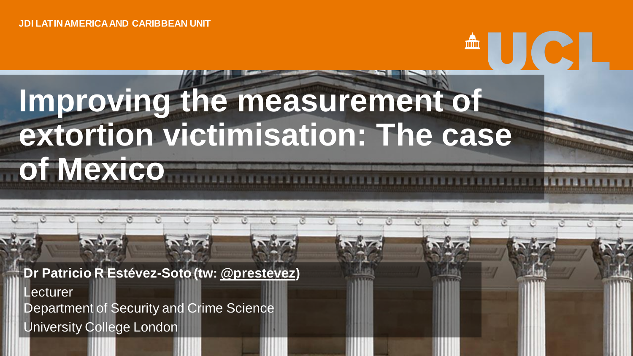### **Improving the measurement of extortion victimisation: The case of Mexico**

<sup>A</sup>UCL

**Dr Patricio R Estévez-Soto (tw: [@prestevez\)](https://twitter.com/prestevez) Lecturer** 

Department of Security and Crime Science

University College London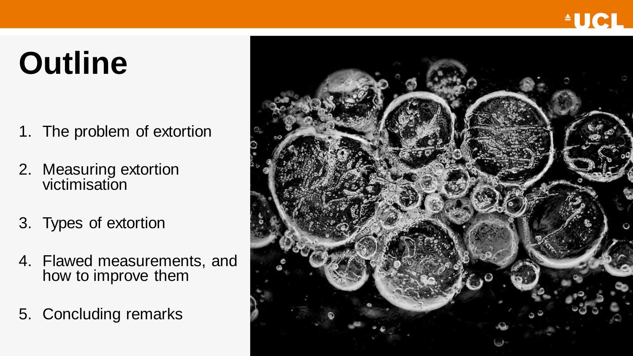# **Outline**

- 1. The problem of extortion
- 2. Measuring extortion victimisation
- 3. Types of extortion
- 4. Flawed measurements, and how to improve them
- 5. Concluding remarks

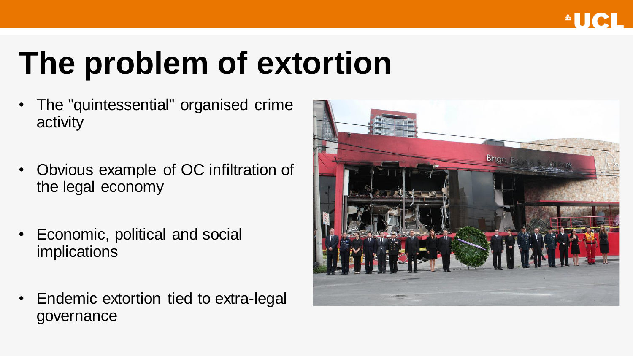# **The problem of extortion**

- The "quintessential" organised crime activity
- Obvious example of OC infiltration of the legal economy
- Economic, political and social implications
- Endemic extortion tied to extra-legal governance

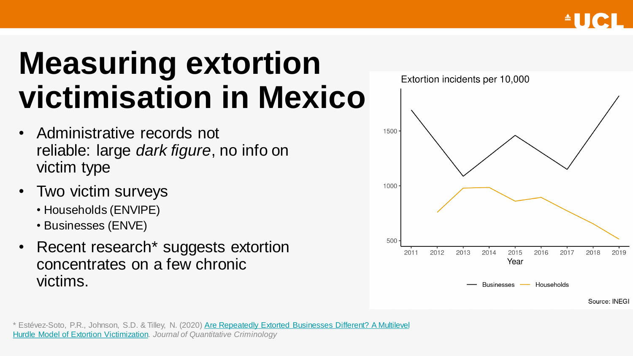## **Measuring extortion victimisation in Mexico**

- Administrative records not reliable: large *dark figure*, no info on victim type
- Two victim surveys
	- Households (ENVIPE)
	- Businesses (ENVE)
- Recent research\* suggests extortion concentrates on a few chronic victims.

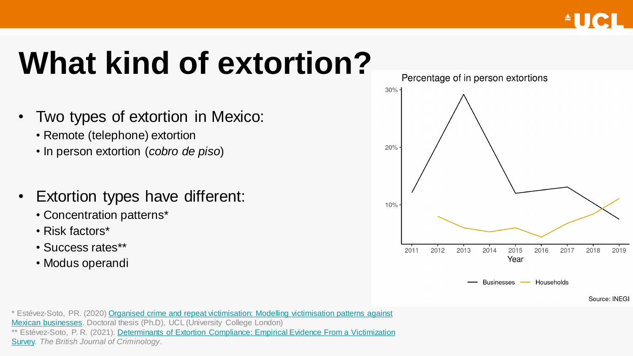# **What kind of extortion?**

- Two types of extortion in Mexico:
	- Remote (telephone) extortion
	- In person extortion (*cobro de piso*)
- Extortion types have different:
	- Concentration patterns\*
	- Risk factors\*
	- Success rates\*\*
	- Modus operandi



Source: INEGI

[\\* Estévez-Soto, PR. \(2020\) Organised crime and repeat victimisation: Modelling victimisation patterns against](https://discovery.ucl.ac.uk/id/eprint/10090180/)  Mexican businesses. Doctoral thesis (Ph.D), UCL (University College London) \*\* Estévez-Soto, P. R. (2021). Determinants of Extortion Compliance: Empirical Evidence From a Victimization Survey. *The British Journal of Criminology*.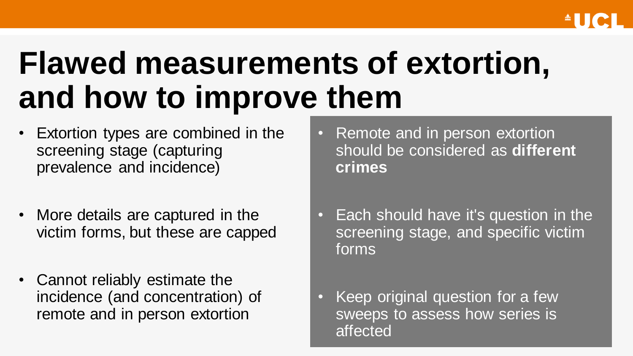## **Flawed measurements of extortion, and how to improve them**

- Extortion types are combined in the screening stage (capturing prevalence and incidence)
- More details are captured in the victim forms, but these are capped
- Cannot reliably estimate the incidence (and concentration) of remote and in person extortion
- Remote and in person extortion should be considered as **different crimes**
- Each should have it's question in the screening stage, and specific victim forms
- Keep original question for a few sweeps to assess how series is affected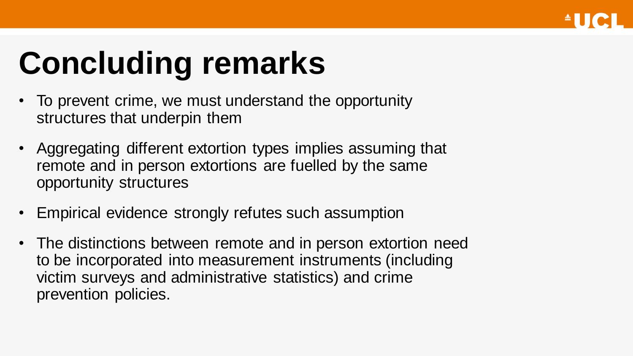

# **Concluding remarks**

- To prevent crime, we must understand the opportunity structures that underpin them
- Aggregating different extortion types implies assuming that remote and in person extortions are fuelled by the same opportunity structures
- Empirical evidence strongly refutes such assumption
- The distinctions between remote and in person extortion need to be incorporated into measurement instruments (including victim surveys and administrative statistics) and crime prevention policies.